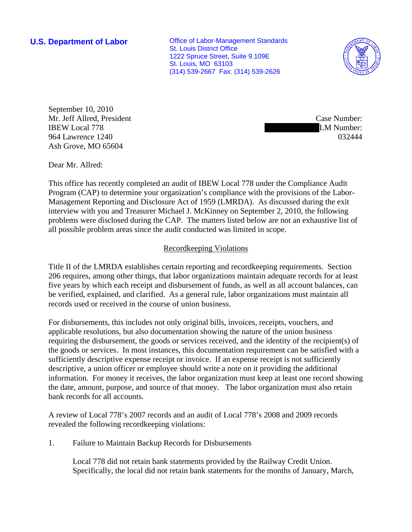**U.S. Department of Labor Conservative Conservative Conservative Conservative Conservative Conservative Conservative Conservative Conservative Conservative Conservative Conservative Conservative Conservative Conservative** St. Louis District Office 1222 Spruce Street, Suite 9.109E St. Louis, MO 63103 (314) 539-2667 Fax: (314) 539-2626



September 10, 2010 Mr. Jeff Allred, President IBEW Local 778 964 Lawrence 1240 Ash Grove, MO 65604

Case Number:  $LM$  Number: 032444

Dear Mr. Allred:

This office has recently completed an audit of IBEW Local 778 under the Compliance Audit Program (CAP) to determine your organization's compliance with the provisions of the Labor-Management Reporting and Disclosure Act of 1959 (LMRDA). As discussed during the exit interview with you and Treasurer Michael J. McKinney on September 2, 2010, the following problems were disclosed during the CAP. The matters listed below are not an exhaustive list of all possible problem areas since the audit conducted was limited in scope.

# Recordkeeping Violations

Title II of the LMRDA establishes certain reporting and recordkeeping requirements. Section 206 requires, among other things, that labor organizations maintain adequate records for at least five years by which each receipt and disbursement of funds, as well as all account balances, can be verified, explained, and clarified. As a general rule, labor organizations must maintain all records used or received in the course of union business.

For disbursements, this includes not only original bills, invoices, receipts, vouchers, and applicable resolutions, but also documentation showing the nature of the union business requiring the disbursement, the goods or services received, and the identity of the recipient(s) of the goods or services. In most instances, this documentation requirement can be satisfied with a sufficiently descriptive expense receipt or invoice. If an expense receipt is not sufficiently descriptive, a union officer or employee should write a note on it providing the additional information. For money it receives, the labor organization must keep at least one record showing the date, amount, purpose, and source of that money. The labor organization must also retain bank records for all accounts.

A review of Local 778's 2007 records and an audit of Local 778's 2008 and 2009 records revealed the following recordkeeping violations:

1. Failure to Maintain Backup Records for Disbursements

Local 778 did not retain bank statements provided by the Railway Credit Union. Specifically, the local did not retain bank statements for the months of January, March,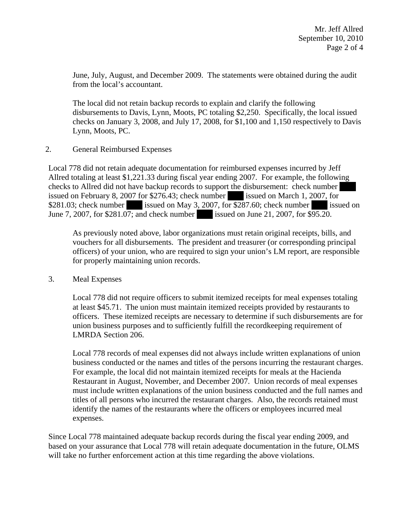June, July, August, and December 2009. The statements were obtained during the audit from the local's accountant.

The local did not retain backup records to explain and clarify the following disbursements to Davis, Lynn, Moots, PC totaling \$2,250. Specifically, the local issued checks on January 3, 2008, and July 17, 2008, for \$1,100 and 1,150 respectively to Davis Lynn, Moots, PC.

### 2. General Reimbursed Expenses

Local 778 did not retain adequate documentation for reimbursed expenses incurred by Jeff Allred totaling at least \$1,221.33 during fiscal year ending 2007. For example, the following checks to Allred did not have backup records to support the disbursement: check number issued on February 8, 2007 for \$276.43; check number  $\parallel$  issued on March 1, 2007, for \$281.03; check number issued on May 3, 2007, for \$287.60; check number issued on June 7, 2007, for \$281.07; and check number |||||||||| issued on June 21, 2007, for \$95.20.

As previously noted above, labor organizations must retain original receipts, bills, and vouchers for all disbursements. The president and treasurer (or corresponding principal officers) of your union, who are required to sign your union's LM report, are responsible for properly maintaining union records.

# 3. Meal Expenses

Local 778 did not require officers to submit itemized receipts for meal expenses totaling at least \$45.71. The union must maintain itemized receipts provided by restaurants to officers. These itemized receipts are necessary to determine if such disbursements are for union business purposes and to sufficiently fulfill the recordkeeping requirement of LMRDA Section 206.

Local 778 records of meal expenses did not always include written explanations of union business conducted or the names and titles of the persons incurring the restaurant charges. For example, the local did not maintain itemized receipts for meals at the Hacienda Restaurant in August, November, and December 2007. Union records of meal expenses must include written explanations of the union business conducted and the full names and titles of all persons who incurred the restaurant charges. Also, the records retained must identify the names of the restaurants where the officers or employees incurred meal expenses.

Since Local 778 maintained adequate backup records during the fiscal year ending 2009, and based on your assurance that Local 778 will retain adequate documentation in the future, OLMS will take no further enforcement action at this time regarding the above violations.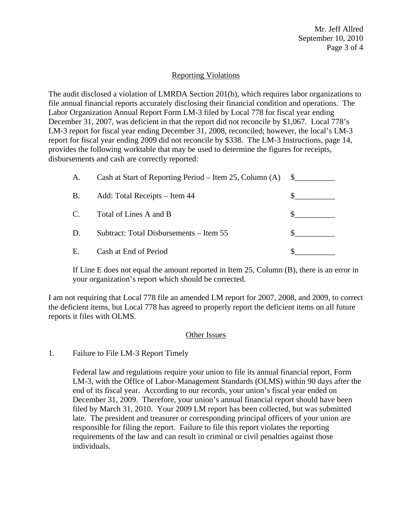## Reporting Violations

The audit disclosed a violation of LMRDA Section 201(b), which requires labor organizations to file annual financial reports accurately disclosing their financial condition and operations. The Labor Organization Annual Report Form LM-3 filed by Local 778 for fiscal year ending December 31, 2007, was deficient in that the report did not reconcile by \$1,067. Local 778's LM-3 report for fiscal year ending December 31, 2008, reconciled; however, the local's LM-3 report for fiscal year ending 2009 did not reconcile by \$338. The LM-3 Instructions, page 14, provides the following worktable that may be used to determine the figures for receipts, disbursements and cash are correctly reported:

| A.          | Cash at Start of Reporting Period – Item 25, Column $(A)$ |  |
|-------------|-----------------------------------------------------------|--|
| <b>B.</b>   | Add: Total Receipts – Item 44                             |  |
| $C_{\cdot}$ | Total of Lines A and B                                    |  |
| D.          | Subtract: Total Disbursements – Item 55                   |  |
| Ε.          | Cash at End of Period                                     |  |

If Line E does not equal the amount reported in Item 25, Column (B), there is an error in your organization's report which should be corrected.

I am not requiring that Local 778 file an amended LM report for 2007, 2008, and 2009, to correct the deficient items, but Local 778 has agreed to properly report the deficient items on all future reports it files with OLMS.

#### Other Issues

1. Failure to File LM-3 Report Timely

Federal law and regulations require your union to file its annual financial report, Form LM-3, with the Office of Labor-Management Standards (OLMS) within 90 days after the end of its fiscal year. According to our records, your union's fiscal year ended on December 31, 2009. Therefore, your union's annual financial report should have been filed by March 31, 2010. Your 2009 LM report has been collected, but was submitted late. The president and treasurer or corresponding principal officers of your union are responsible for filing the report. Failure to file this report violates the reporting requirements of the law and can result in criminal or civil penalties against those individuals.